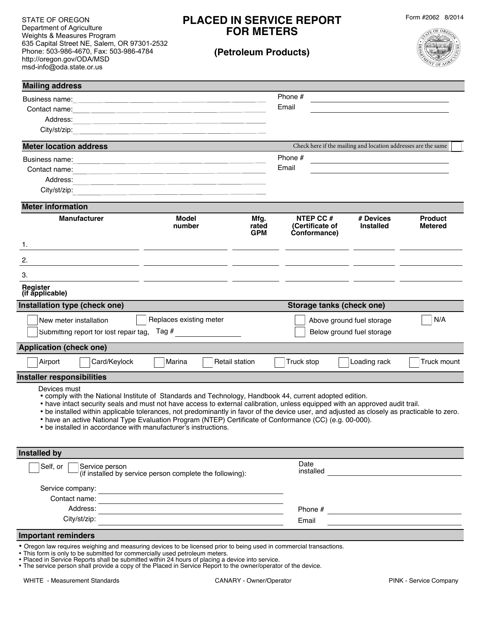STATE OF OREGON Department of Agriculture Weights & Measures Program 635 Capital Street NE, Salem, OR 97301-2532 Phone: 503-986-4670, Fax: 503-986-4784 http://oregon.gov/ODA/MSD msd-info@oda.state.or.us

# **PLACED IN SERVICE REPORT FOR METERS**

**(Petroleum Products)**

Form #2062 8/2014



| <b>Mailing address</b>                                                                                                                                                                                                                                                                                                                                                                                                                                                                                                                                                              |                                                                                                                                                                                                                               |                             |                                                                |                                                   |                                  |
|-------------------------------------------------------------------------------------------------------------------------------------------------------------------------------------------------------------------------------------------------------------------------------------------------------------------------------------------------------------------------------------------------------------------------------------------------------------------------------------------------------------------------------------------------------------------------------------|-------------------------------------------------------------------------------------------------------------------------------------------------------------------------------------------------------------------------------|-----------------------------|----------------------------------------------------------------|---------------------------------------------------|----------------------------------|
| Business name:                                                                                                                                                                                                                                                                                                                                                                                                                                                                                                                                                                      | <u> 1980 - John Stein, Amerikaansk politiker (* 1908)</u>                                                                                                                                                                     |                             | Phone $#$                                                      |                                                   |                                  |
|                                                                                                                                                                                                                                                                                                                                                                                                                                                                                                                                                                                     |                                                                                                                                                                                                                               |                             | Email                                                          |                                                   |                                  |
| Address:                                                                                                                                                                                                                                                                                                                                                                                                                                                                                                                                                                            | <u> 1980 - Johann Barbara, martxa alemaniar argumento de la contrada de la contrada de la contrada de la contrad</u>                                                                                                          |                             |                                                                |                                                   |                                  |
| City/st/zip:                                                                                                                                                                                                                                                                                                                                                                                                                                                                                                                                                                        | <u> 1989 - Johann Stoff, amerikansk politiker (* 1908)</u>                                                                                                                                                                    |                             |                                                                |                                                   |                                  |
| <b>Meter location address</b>                                                                                                                                                                                                                                                                                                                                                                                                                                                                                                                                                       |                                                                                                                                                                                                                               |                             | Check here if the mailing and location addresses are the same  |                                                   |                                  |
| Business name:                                                                                                                                                                                                                                                                                                                                                                                                                                                                                                                                                                      | <u> 1989 - Johann Stein, mars an de Frankrik (f. 1989)</u>                                                                                                                                                                    |                             | Phone #                                                        | <u> 1980 - Johann Barbara, martxa alemaniar a</u> |                                  |
| Contact name:                                                                                                                                                                                                                                                                                                                                                                                                                                                                                                                                                                       | <u> 1980 - John Stein, markin am de familie e de familie de la constantino de la constantino de la constantino d</u>                                                                                                          |                             | Email                                                          |                                                   |                                  |
| Address:                                                                                                                                                                                                                                                                                                                                                                                                                                                                                                                                                                            |                                                                                                                                                                                                                               |                             |                                                                |                                                   |                                  |
| City/st/zip:                                                                                                                                                                                                                                                                                                                                                                                                                                                                                                                                                                        | the control of the control of the control of the control of the control of the control of the control of the control of the control of the control of the control of the control of the control of the control of the control |                             |                                                                |                                                   |                                  |
| <b>Meter information</b>                                                                                                                                                                                                                                                                                                                                                                                                                                                                                                                                                            |                                                                                                                                                                                                                               |                             |                                                                |                                                   |                                  |
| <b>Manufacturer</b>                                                                                                                                                                                                                                                                                                                                                                                                                                                                                                                                                                 | Model<br>number                                                                                                                                                                                                               | Mfg.<br>rated<br><b>GPM</b> | NTEP CC#<br>(Certificate of<br>Conformance)                    | # Devices<br><b>Installed</b>                     | <b>Product</b><br><b>Metered</b> |
| 1.                                                                                                                                                                                                                                                                                                                                                                                                                                                                                                                                                                                  | <u> 1989 - Andrea San Andrea San Andrea San Andrea San Andrea San Andrea San Andrea San Andrea San Andrea San A</u>                                                                                                           |                             |                                                                |                                                   |                                  |
| 2.                                                                                                                                                                                                                                                                                                                                                                                                                                                                                                                                                                                  | <u> 1980 - Johann John Stein, mars et al. (</u>                                                                                                                                                                               |                             |                                                                |                                                   |                                  |
| 3.                                                                                                                                                                                                                                                                                                                                                                                                                                                                                                                                                                                  |                                                                                                                                                                                                                               |                             |                                                                |                                                   |                                  |
| Register<br>(if applicable)                                                                                                                                                                                                                                                                                                                                                                                                                                                                                                                                                         |                                                                                                                                                                                                                               |                             |                                                                |                                                   |                                  |
| Installation type (check one)<br>Storage tanks (check one)                                                                                                                                                                                                                                                                                                                                                                                                                                                                                                                          |                                                                                                                                                                                                                               |                             |                                                                |                                                   |                                  |
| Replaces existing meter<br>New meter installation                                                                                                                                                                                                                                                                                                                                                                                                                                                                                                                                   |                                                                                                                                                                                                                               |                             | N/A<br>Above ground fuel storage                               |                                                   |                                  |
| Submitting report for lost repair tag, Tag #                                                                                                                                                                                                                                                                                                                                                                                                                                                                                                                                        |                                                                                                                                                                                                                               |                             | Below ground fuel storage                                      |                                                   |                                  |
| <b>Application (check one)</b>                                                                                                                                                                                                                                                                                                                                                                                                                                                                                                                                                      |                                                                                                                                                                                                                               |                             |                                                                |                                                   |                                  |
| Card/Keylock<br>Airport                                                                                                                                                                                                                                                                                                                                                                                                                                                                                                                                                             | Marina                                                                                                                                                                                                                        | <b>Retail station</b>       | Truck stop                                                     | Loading rack                                      | Truck mount                      |
| <b>Installer responsibilities</b>                                                                                                                                                                                                                                                                                                                                                                                                                                                                                                                                                   |                                                                                                                                                                                                                               |                             |                                                                |                                                   |                                  |
| Devices must<br>• comply with the National Institute of Standards and Technology, Handbook 44, current adopted edition.<br>• have intact security seals and must not have access to external calibration, unless equipped with an approved audit trail.<br>. be installed within applicable tolerances, not predominantly in favor of the device user, and adjusted as closely as practicable to zero.<br>• have an active National Type Evaluation Program (NTEP) Certificate of Conformance (CC) (e.g. 00-000).<br>• be installed in accordance with manufacturer's instructions. |                                                                                                                                                                                                                               |                             |                                                                |                                                   |                                  |
| <b>Installed by</b>                                                                                                                                                                                                                                                                                                                                                                                                                                                                                                                                                                 |                                                                                                                                                                                                                               |                             |                                                                |                                                   |                                  |
| Self, or<br>Service person<br>(if installed by service person complete the following):                                                                                                                                                                                                                                                                                                                                                                                                                                                                                              |                                                                                                                                                                                                                               |                             | Date<br>installed                                              |                                                   |                                  |
| Service company:                                                                                                                                                                                                                                                                                                                                                                                                                                                                                                                                                                    |                                                                                                                                                                                                                               |                             |                                                                |                                                   |                                  |
| Contact name:                                                                                                                                                                                                                                                                                                                                                                                                                                                                                                                                                                       |                                                                                                                                                                                                                               |                             |                                                                |                                                   |                                  |
| Address:                                                                                                                                                                                                                                                                                                                                                                                                                                                                                                                                                                            |                                                                                                                                                                                                                               |                             | Phone #<br><u> 1980 - Jan Barbara Barbara, prima politik (</u> |                                                   |                                  |
| City/st/zip:                                                                                                                                                                                                                                                                                                                                                                                                                                                                                                                                                                        |                                                                                                                                                                                                                               |                             | Email                                                          |                                                   |                                  |
| <b>Important reminders</b>                                                                                                                                                                                                                                                                                                                                                                                                                                                                                                                                                          |                                                                                                                                                                                                                               |                             |                                                                |                                                   |                                  |
| • Oregon law requires weighing and measuring devices to be licensed prior to being used in commercial transactions.<br>. This form is only to be submitted for commercially used petroleum meters.<br>• Placed in Service Benorts shall be submitted within 24 hours of placing a device into service                                                                                                                                                                                                                                                                               |                                                                                                                                                                                                                               |                             |                                                                |                                                   |                                  |

- Placed in Service Reports shall be submitted within 24 hours of placing a device into service.
- The service person shall provide a copy of the Placed in Service Report to the owner/operator of the device.